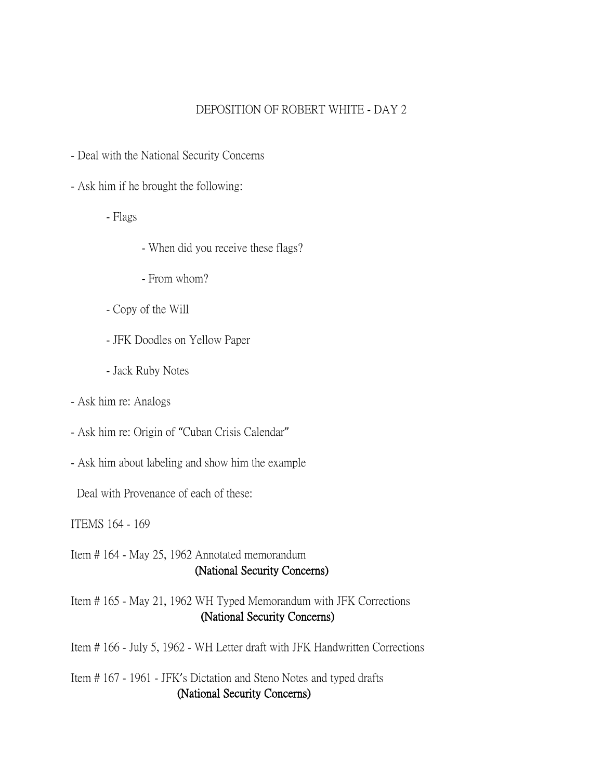#### DEPOSITION OF ROBERT WHITE - DAY 2

- Deal with the National Security Concerns
- Ask him if he brought the following:
	- Flags
- When did you receive these flags?
- From whom?
- Copy of the Will
- JFK Doodles on Yellow Paper
- Jack Ruby Notes
- Ask him re: Analogs
- Ask him re: Origin of "Cuban Crisis Calendar"
- Ask him about labeling and show him the example

Deal with Provenance of each of these:

ITEMS 164 - 169

Item # 164 - May 25, 1962 Annotated memorandum (National Security Concerns)

Item # 165 - May 21, 1962 WH Typed Memorandum with JFK Corrections (National Security Concerns)

Item # 166 - July 5, 1962 - WH Letter draft with JFK Handwritten Corrections

Item # 167 - 1961 - JFK's Dictation and Steno Notes and typed drafts (National Security Concerns)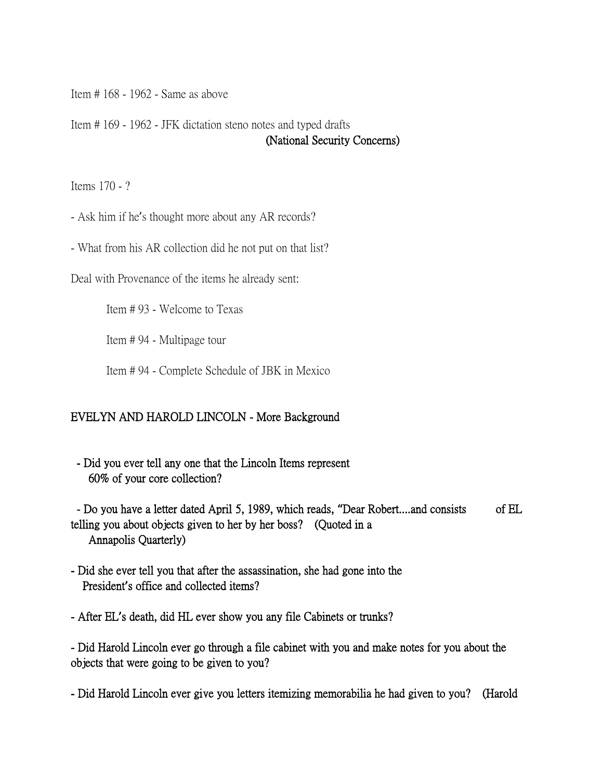Item # 168 - 1962 - Same as above

Item # 169 - 1962 - JFK dictation steno notes and typed drafts (National Security Concerns)

Items 170 - ?

- Ask him if he's thought more about any AR records?

- What from his AR collection did he not put on that list?

Deal with Provenance of the items he already sent:

Item # 93 - Welcome to Texas

Item # 94 - Multipage tour

Item # 94 - Complete Schedule of JBK in Mexico

#### EVELYN AND HAROLD LINCOLN - More Background

 - Did you ever tell any one that the Lincoln Items represent 60% of your core collection?

 - Do you have a letter dated April 5, 1989, which reads, **"**Dear Robert....and consists of EL telling you about objects given to her by her boss? (Quoted in a Annapolis Quarterly)

- Did she ever tell you that after the assassination, she had gone into the President**'**s office and collected items?
- After EL**'**s death, did HL ever show you any file Cabinets or trunks?

- Did Harold Lincoln ever go through a file cabinet with you and make notes for you about the objects that were going to be given to you?

- Did Harold Lincoln ever give you letters itemizing memorabilia he had given to you? (Harold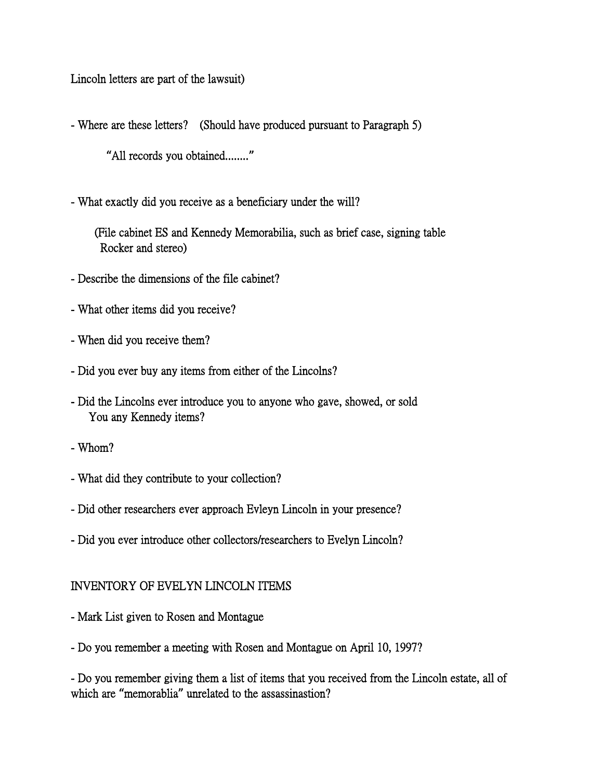Lincoln letters are part of the lawsuit)

- Where are these letters? (Should have produced pursuant to Paragraph 5)

**"**All records you obtained........**"**

- What exactly did you receive as a beneficiary under the will?

 (File cabinet ES and Kennedy Memorabilia, such as brief case, signing table Rocker and stereo)

- Describe the dimensions of the file cabinet?
- What other items did you receive?
- When did you receive them?
- Did you ever buy any items from either of the Lincolns?
- Did the Lincolns ever introduce you to anyone who gave, showed, or sold You any Kennedy items?
- Whom?
- What did they contribute to your collection?
- Did other researchers ever approach Evleyn Lincoln in your presence?
- Did you ever introduce other collectors/researchers to Evelyn Lincoln?

#### INVENTORY OF EVELYN LINCOLN ITEMS

- Mark List given to Rosen and Montague
- Do you remember a meeting with Rosen and Montague on April 10, 1997?

- Do you remember giving them a list of items that you received from the Lincoln estate, all of which are **"**memorablia**"** unrelated to the assassinastion?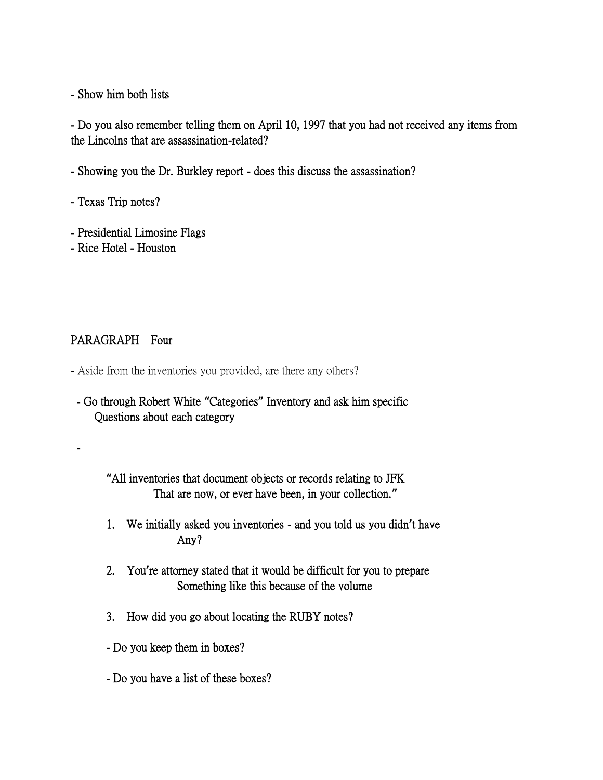- Show him both lists

- Do you also remember telling them on April 10, 1997 that you had not received any items from the Lincolns that are assassination-related?

- Showing you the Dr. Burkley report does this discuss the assassination?
- Texas Trip notes?
- Presidential Limosine Flags
- Rice Hotel Houston

## PARAGRAPH Four

-

- Aside from the inventories you provided, are there any others?

 - Go through Robert White **"**Categories**"** Inventory and ask him specific Questions about each category

**"**All inventories that document objects or records relating to JFK That are now, or ever have been, in your collection.**"**

- 1. We initially asked you inventories and you told us you didn**'**t have Any?
- 2. You**'**re attorney stated that it would be difficult for you to prepare Something like this because of the volume
- 3. How did you go about locating the RUBY notes?
- Do you keep them in boxes?
- Do you have a list of these boxes?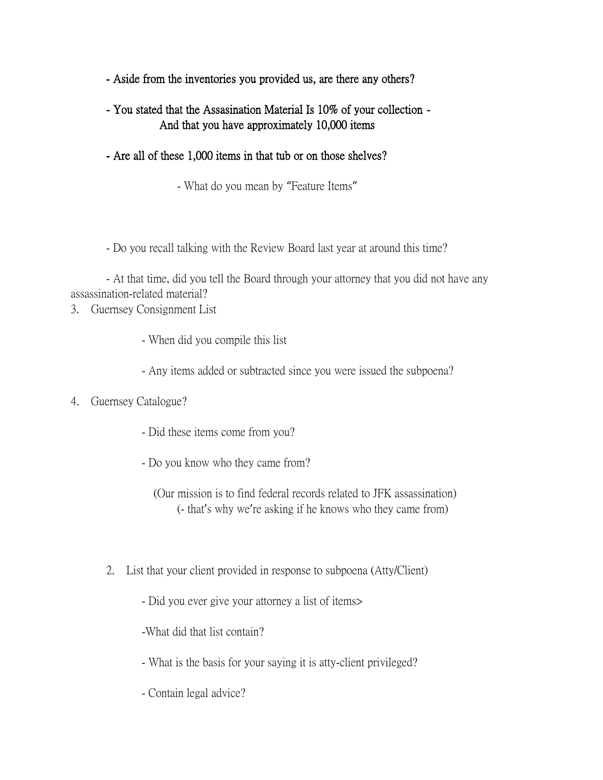- Aside from the inventories you provided us, are there any others?
- You stated that the Assasination Material Is 10% of your collection And that you have approximately 10,000 items
- Are all of these 1,000 items in that tub or on those shelves?
	- What do you mean by "Feature Items"

- Do you recall talking with the Review Board last year at around this time?

## - At that time, did you tell the Board through your attorney that you did not have any assassination-related material?

- 3. Guernsey Consignment List
	- When did you compile this list
	- Any items added or subtracted since you were issued the subpoena?

#### 4. Guernsey Catalogue?

- Did these items come from you?
- Do you know who they came from?

 (Our mission is to find federal records related to JFK assassination) (- that's why we're asking if he knows who they came from)

- 2. List that your client provided in response to subpoena (Atty/Client)
	- Did you ever give your attorney a list of items>

-What did that list contain?

- What is the basis for your saying it is atty-client privileged?
- Contain legal advice?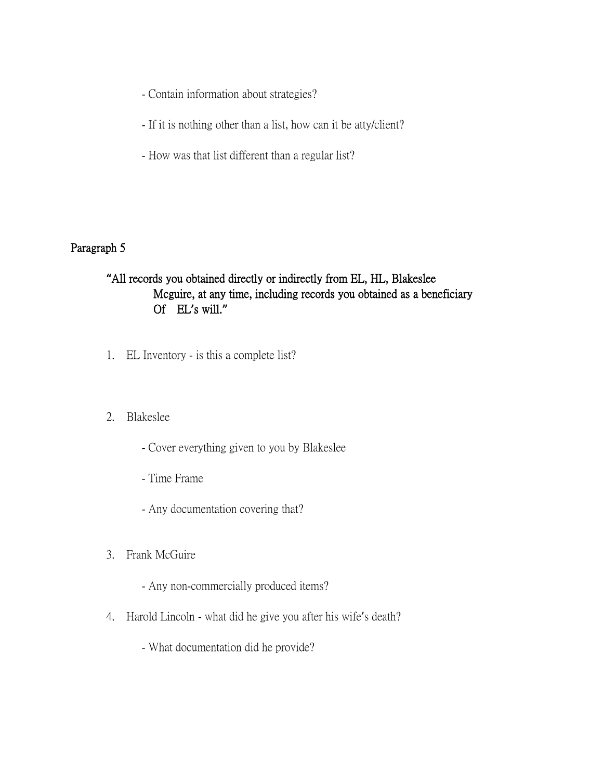- Contain information about strategies?
- If it is nothing other than a list, how can it be atty/client?
- How was that list different than a regular list?

## Paragraph 5

# **"**All records you obtained directly or indirectly from EL, HL, Blakeslee Mcguire, at any time, including records you obtained as a beneficiary Of EL**'**s will.**"**

- 1. EL Inventory is this a complete list?
- 2. Blakeslee
	- Cover everything given to you by Blakeslee
	- Time Frame
	- Any documentation covering that?
- 3. Frank McGuire
	- Any non-commercially produced items?
- 4. Harold Lincoln what did he give you after his wife's death?
	- What documentation did he provide?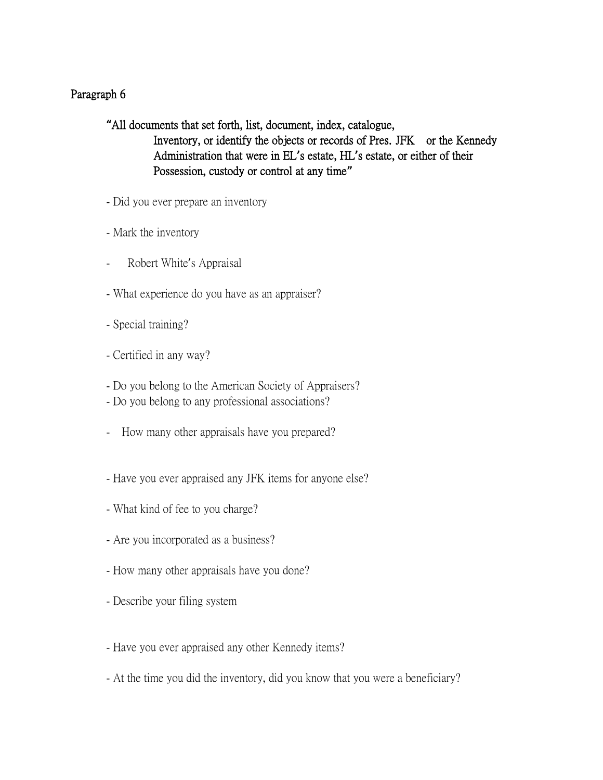# Paragraph 6

**"**All documents that set forth, list, document, index, catalogue, Inventory, or identify the objects or records of Pres. JFK or the Kennedy Administration that were in EL**'**s estate, HL**'**s estate, or either of their Possession, custody or control at any time**"**

- Did you ever prepare an inventory
- Mark the inventory
- Robert White's Appraisal
- What experience do you have as an appraiser?
- Special training?
- Certified in any way?
- Do you belong to the American Society of Appraisers?
- Do you belong to any professional associations?
- How many other appraisals have you prepared?
- Have you ever appraised any JFK items for anyone else?
- What kind of fee to you charge?
- Are you incorporated as a business?
- How many other appraisals have you done?
- Describe your filing system
- Have you ever appraised any other Kennedy items?
- At the time you did the inventory, did you know that you were a beneficiary?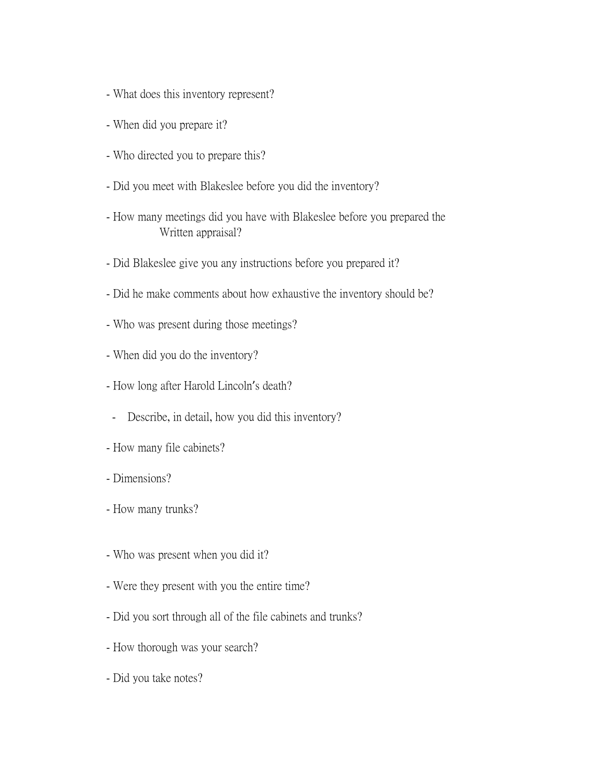- What does this inventory represent?
- When did you prepare it?
- Who directed you to prepare this?
- Did you meet with Blakeslee before you did the inventory?
- How many meetings did you have with Blakeslee before you prepared the Written appraisal?
- Did Blakeslee give you any instructions before you prepared it?
- Did he make comments about how exhaustive the inventory should be?
- Who was present during those meetings?
- When did you do the inventory?
- How long after Harold Lincoln's death?
- Describe, in detail, how you did this inventory?
- How many file cabinets?
- Dimensions?
- How many trunks?
- Who was present when you did it?
- Were they present with you the entire time?
- Did you sort through all of the file cabinets and trunks?
- How thorough was your search?
- Did you take notes?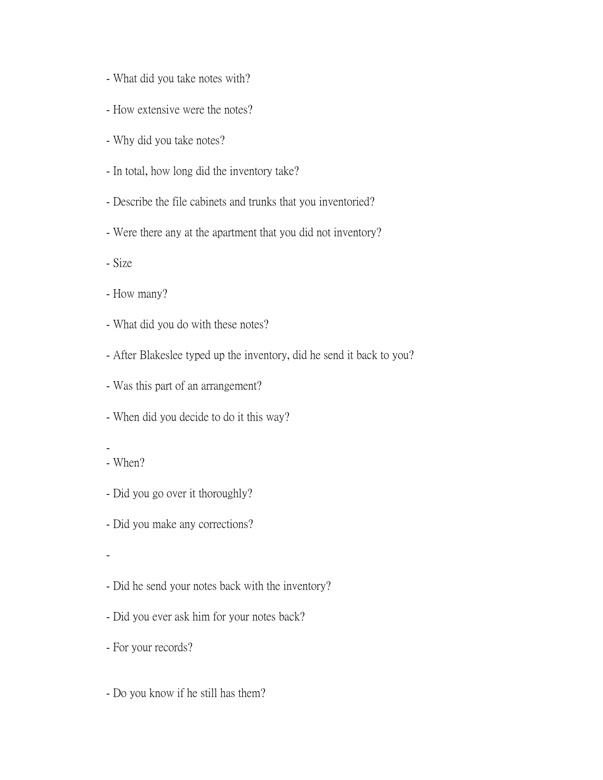- What did you take notes with?
- How extensive were the notes?
- Why did you take notes?
- In total, how long did the inventory take?
- Describe the file cabinets and trunks that you inventoried?
- Were there any at the apartment that you did not inventory?
- Size
- How many?
- What did you do with these notes?
- After Blakeslee typed up the inventory, did he send it back to you?
- Was this part of an arrangement?
- When did you decide to do it this way?
- - When?
- Did you go over it thoroughly?
- Did you make any corrections?
- -
- Did he send your notes back with the inventory?
- Did you ever ask him for your notes back?
- For your records?
- Do you know if he still has them?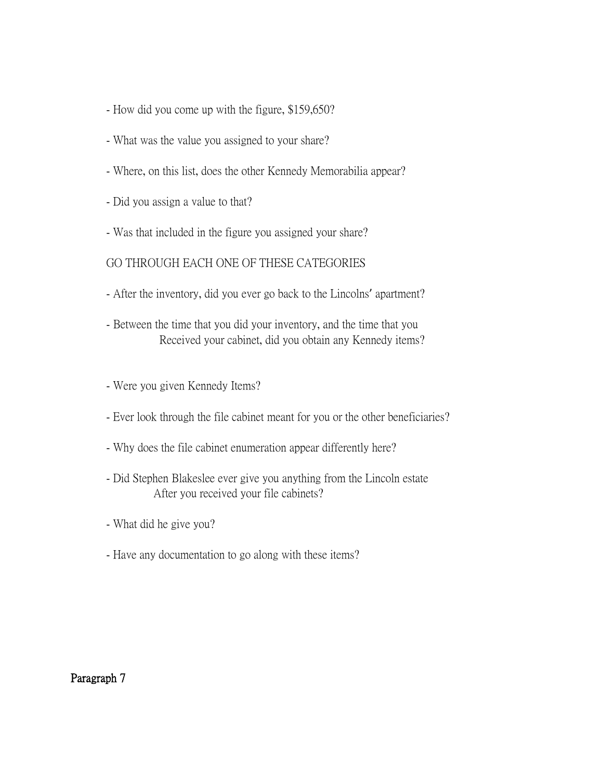- How did you come up with the figure, \$159,650?
- What was the value you assigned to your share?
- Where, on this list, does the other Kennedy Memorabilia appear?
- Did you assign a value to that?
- Was that included in the figure you assigned your share?

### GO THROUGH EACH ONE OF THESE CATEGORIES

- After the inventory, did you ever go back to the Lincolns' apartment?
- Between the time that you did your inventory, and the time that you Received your cabinet, did you obtain any Kennedy items?
- Were you given Kennedy Items?
- Ever look through the file cabinet meant for you or the other beneficiaries?
- Why does the file cabinet enumeration appear differently here?
- Did Stephen Blakeslee ever give you anything from the Lincoln estate After you received your file cabinets?
- What did he give you?
- Have any documentation to go along with these items?

Paragraph 7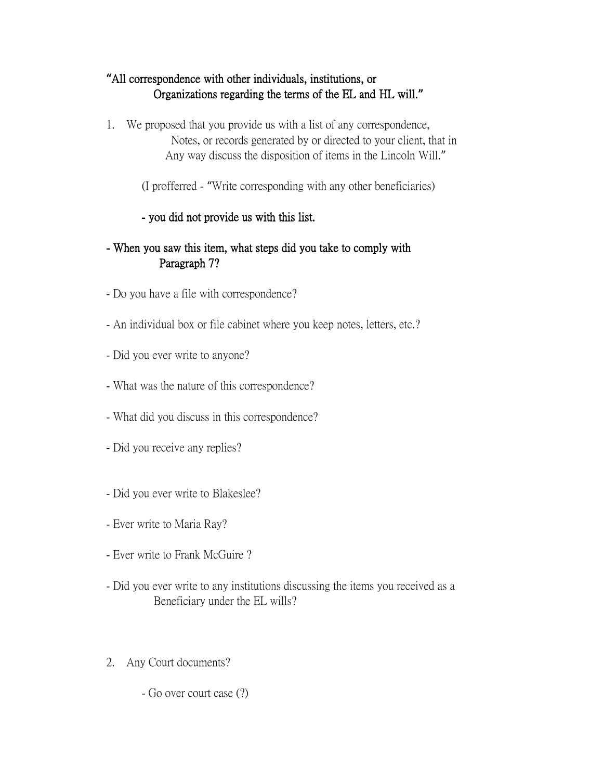# **"**All correspondence with other individuals, institutions, or Organizations regarding the terms of the EL and HL will.**"**

1. We proposed that you provide us with a list of any correspondence, Notes, or records generated by or directed to your client, that in Any way discuss the disposition of items in the Lincoln Will."

(I profferred - "Write corresponding with any other beneficiaries)

# - you did not provide us with this list.

# - When you saw this item, what steps did you take to comply with Paragraph 7?

- Do you have a file with correspondence?
- An individual box or file cabinet where you keep notes, letters, etc.?
- Did you ever write to anyone?
- What was the nature of this correspondence?
- What did you discuss in this correspondence?
- Did you receive any replies?
- Did you ever write to Blakeslee?
- Ever write to Maria Ray?
- Ever write to Frank McGuire ?
- Did you ever write to any institutions discussing the items you received as a Beneficiary under the EL wills?
- 2. Any Court documents?
	- Go over court case (?)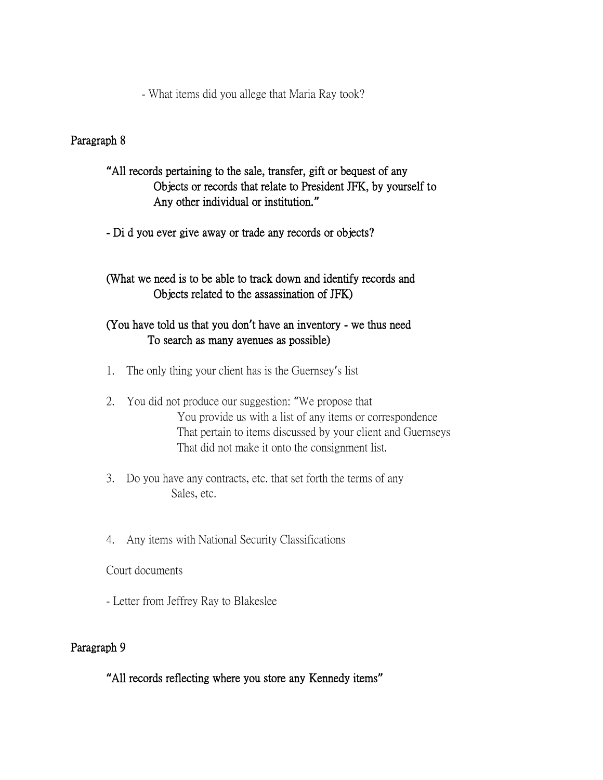- What items did you allege that Maria Ray took?

## Paragraph 8

## **"**All records pertaining to the sale, transfer, gift or bequest of any Objects or records that relate to President JFK, by yourself to Any other individual or institution.**"**

- Di d you ever give away or trade any records or objects?

# (What we need is to be able to track down and identify records and Objects related to the assassination of JFK)

## (You have told us that you don**'**t have an inventory - we thus need To search as many avenues as possible)

- 1. The only thing your client has is the Guernsey's list
- 2. You did not produce our suggestion: "We propose that You provide us with a list of any items or correspondence That pertain to items discussed by your client and Guernseys That did not make it onto the consignment list.
- 3. Do you have any contracts, etc. that set forth the terms of any Sales, etc.
- 4. Any items with National Security Classifications

Court documents

- Letter from Jeffrey Ray to Blakeslee

# Paragraph 9

**"**All records reflecting where you store any Kennedy items**"**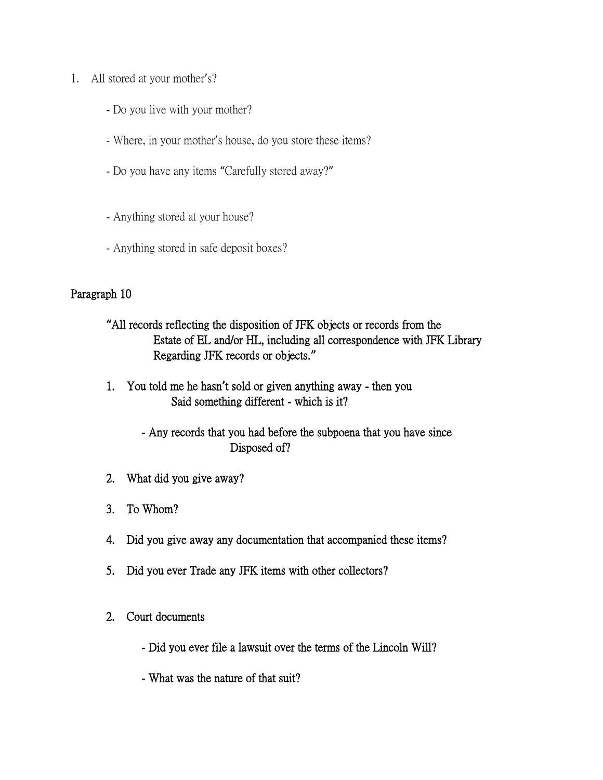- 1. All stored at your mother's?
	- Do you live with your mother?
	- Where, in your mother's house, do you store these items?
	- Do you have any items "Carefully stored away?"
	- Anything stored at your house?
	- Anything stored in safe deposit boxes?

### Paragraph 10

- **"**All records reflecting the disposition of JFK objects or records from the Estate of EL and/or HL, including all correspondence with JFK Library Regarding JFK records or objects.**"**
- 1. You told me he hasn**'**t sold or given anything away then you Said something different - which is it?
	- Any records that you had before the subpoena that you have since Disposed of?
- 2. What did you give away?
- 3. To Whom?
- 4. Did you give away any documentation that accompanied these items?
- 5. Did you ever Trade any JFK items with other collectors?
- 2. Court documents
	- Did you ever file a lawsuit over the terms of the Lincoln Will?
	- What was the nature of that suit?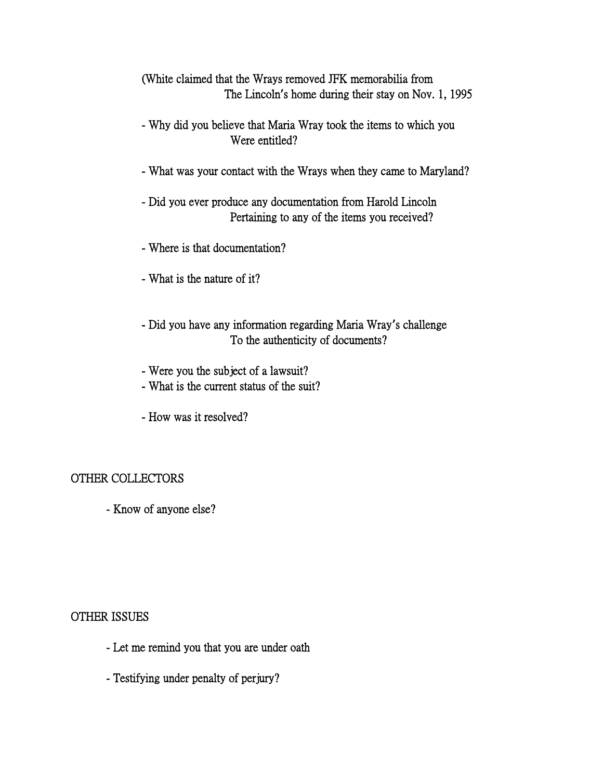(White claimed that the Wrays removed JFK memorabilia from The Lincoln**'**s home during their stay on Nov. 1, 1995

- Why did you believe that Maria Wray took the items to which you Were entitled?
- What was your contact with the Wrays when they came to Maryland?
- Did you ever produce any documentation from Harold Lincoln Pertaining to any of the items you received?
- Where is that documentation?
- What is the nature of it?
- Did you have any information regarding Maria Wray**'**s challenge To the authenticity of documents?
- Were you the subject of a lawsuit?
- What is the current status of the suit?
- How was it resolved?

#### OTHER COLLECTORS

- Know of anyone else?

#### OTHER ISSUES

- Let me remind you that you are under oath
- Testifying under penalty of perjury?